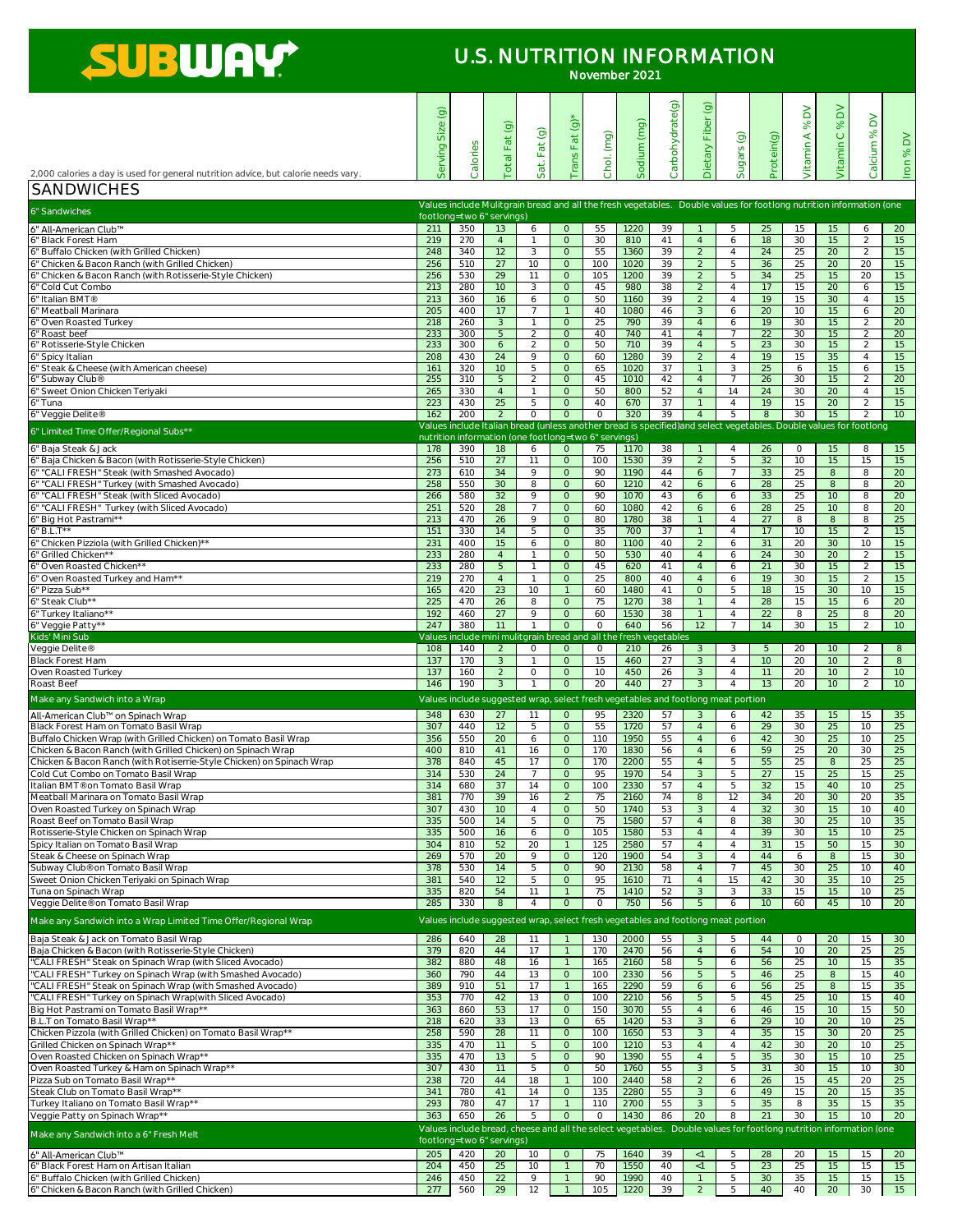|                                                                                                         | $\widehat{\Theta}$<br>Size |                                                                                  | Total Fat(g)          | Sat. Fat (g)                   | Trans Fat (g)      | Chol. (mg) | Sodium (mg)  | Carbohydrate(g) | $\odot$<br>Dietary Fiber         | Sugars (g)                       | Protein(g)            | $\geq$<br>$\infty$<br>$\prec$ | $\geq$<br>$\infty$<br>$\bigcirc$ | $\geq$<br>$\%$                                                                                                      | Iron % DV             |
|---------------------------------------------------------------------------------------------------------|----------------------------|----------------------------------------------------------------------------------|-----------------------|--------------------------------|--------------------|------------|--------------|-----------------|----------------------------------|----------------------------------|-----------------------|-------------------------------|----------------------------------|---------------------------------------------------------------------------------------------------------------------|-----------------------|
|                                                                                                         | Serving                    | Calories                                                                         |                       |                                |                    |            |              |                 |                                  |                                  |                       | Vitamin                       | <b>Vitamin</b>                   | Calcium                                                                                                             |                       |
| 2,000 calories a day is used for general nutrition advice, but calorie needs vary                       |                            |                                                                                  |                       |                                |                    |            |              |                 |                                  |                                  |                       |                               |                                  |                                                                                                                     |                       |
| <b>SANDWICHES</b>                                                                                       |                            |                                                                                  |                       |                                |                    |            |              |                 |                                  |                                  |                       |                               |                                  |                                                                                                                     |                       |
| 6" Sandwiches                                                                                           |                            |                                                                                  |                       |                                |                    |            |              |                 |                                  |                                  |                       |                               |                                  | Values include Mulitgrain bread and all the fresh vegetables. Double values for footlong nutrition information (one |                       |
|                                                                                                         |                            | footlong=two 6" servings)                                                        |                       |                                |                    |            |              |                 |                                  |                                  |                       |                               |                                  |                                                                                                                     |                       |
| 6" All-American Club™<br>6" Black Forest Ham                                                            | 211<br>219                 | 350<br>270                                                                       | 13<br>$\overline{4}$  | 6<br>$\mathbf{1}$              | $\circ$<br>$\circ$ | 55<br>30   | 1220<br>810  | 39<br>41        | $\overline{4}$                   | 5<br>6                           | 25<br>18              | 15<br>30                      | 15<br>15                         | 6<br>$\overline{2}$                                                                                                 | 20<br>15              |
| 6" Buffalo Chicken (with Grilled Chicken)                                                               | 248                        | 340                                                                              | 12                    | 3                              | $\circ$            | 55         | 1360         | 39              | $\overline{2}$                   | $\overline{4}$                   | 24                    | 25                            | 20                               | 2                                                                                                                   | 15                    |
| 6" Chicken & Bacon Ranch (with Grilled Chicken)                                                         | 256                        | 510                                                                              | 27                    | 10                             | $\circ$            | 100        | 1020         | 39              | $\overline{2}$                   | 5                                | 36                    | 25                            | 20                               | 20                                                                                                                  | 15                    |
| 6" Chicken & Bacon Ranch (with Rotisserie-Style Chicken)                                                | 256                        | 530                                                                              | 29                    | 11                             | $\circ$            | 105        | 1200         | 39              | $\overline{2}$                   | 5                                | 34                    | 25                            | 15                               | 20                                                                                                                  | 15                    |
| 6" Cold Cut Combo                                                                                       | 213                        | 280                                                                              | 10                    | 3                              | $\circ$            | 45         | 980          | 38              | $\overline{2}$                   | $\overline{4}$                   | 17                    | 15                            | 20                               | 6                                                                                                                   | 15                    |
| 6" Italian BMT®                                                                                         | 213                        | 360                                                                              | 16                    | 6                              | $\circ$            | 50         | 1160         | 39              | $\overline{2}$                   | $\overline{4}$                   | 19                    | 15                            | 30                               | $\overline{4}$                                                                                                      | 15                    |
| 6" Meatball Marinara<br>6" Oven Roasted Turkey                                                          | 205<br>218                 | 400<br>260                                                                       | 17<br>3               | $\overline{7}$<br>$\mathbf{1}$ | $\circ$            | 40<br>25   | 1080<br>790  | 46<br>39        | $\mathbf{3}$<br>$\overline{4}$   | 6<br>6                           | $\overline{20}$<br>19 | 10<br>30                      | 15<br>15                         | 6<br>$\overline{2}$                                                                                                 | $\overline{20}$<br>20 |
| 6" Roast beef                                                                                           | 233                        | 300                                                                              | 5                     | 2                              | $\circ$            | 40         | 740          | 41              | $\overline{4}$                   | 7                                | 22                    | 30                            | 15                               | $\overline{2}$                                                                                                      | 20                    |
| 6" Rotisserie-Style Chicken                                                                             | 233                        | 300                                                                              | 6                     | 2                              | $\circ$            | 50         | 710          | 39              | $\overline{4}$                   | 5                                | 23                    | 30                            | 15                               | 2                                                                                                                   | 15                    |
| 6" Spicy Italian                                                                                        | 208                        | 430                                                                              | 24                    | 9                              | $\circ$            | 60         | 1280         | 39              | $\overline{2}$                   | $\overline{4}$                   | 19                    | 15                            | 35                               | $\overline{4}$                                                                                                      | 15                    |
| 6" Steak & Cheese (with American cheese)                                                                | 161                        | 320                                                                              | 10                    | 5                              | $\circ$            | 65         | 1020         | $\overline{37}$ | $\overline{1}$                   | 3                                | 25                    | 6                             | 15                               | 6                                                                                                                   | 15                    |
| 6" Subway Club®<br>6" Sweet Onion Chicken Teriyaki                                                      | 255<br>265                 | 310<br>330                                                                       | 5<br>$\overline{4}$   | 2<br>$\mathbf{1}$              | $\circ$<br>$\circ$ | 45<br>50   | 1010<br>800  | 42<br>52        | $\overline{4}$<br>$\overline{4}$ | $\overline{7}$<br>14             | 26<br>24              | 30<br>30                      | 15<br>20                         | 2<br>$\overline{4}$                                                                                                 | 20<br>15              |
| 6" Tuna                                                                                                 | 223                        | 430                                                                              | 25                    | 5                              | $\circ$            | 40         | 670          | 37              | $\overline{1}$                   | $\overline{4}$                   | $\overline{19}$       | 15                            | 20                               | 2                                                                                                                   | 15                    |
| 6" Veggie Delite®                                                                                       | 162                        | 200                                                                              | 2                     | $\circ$                        | $\circ$            | $\circ$    | 320          | 39              | $\overline{4}$                   | 5                                | 8                     | 30                            | 15                               | $\overline{2}$                                                                                                      | 10                    |
|                                                                                                         |                            |                                                                                  |                       |                                |                    |            |              |                 |                                  |                                  |                       |                               |                                  | Values include Italian bread (unless another bread is specified) and select vegetables. Double values for footlong  |                       |
| 6" Limited Time Offer/Regional Subs**                                                                   |                            | nutrition information (one footlong=two 6" servings)                             |                       |                                |                    |            |              |                 |                                  |                                  |                       |                               |                                  |                                                                                                                     |                       |
| 6" Baja Steak & Jack                                                                                    | 178                        | 390                                                                              | 18                    | 6                              | $\circ$            | 75         | 1170         | 38              | $\overline{1}$                   | $\overline{4}$                   | 26                    | $\circ$                       | 15                               | 8                                                                                                                   | 15                    |
| 6" Baja Chicken & Bacon (with Rotisserie-Style Chicken)<br>6" "CALI FRESH" Steak (with Smashed Avocado) | 256<br>273                 | 510<br>610                                                                       | $\overline{27}$<br>34 | 11<br>9                        | $\circ$<br>$\circ$ | 100<br>90  | 1530<br>1190 | 39<br>44        | $\overline{2}$<br>6              | $\overline{5}$<br>$\overline{7}$ | 32<br>33              | 10<br>25                      | 15<br>8                          | 15<br>8                                                                                                             | 15<br>$\overline{20}$ |
| 6" "CALI FRESH" Turkey (with Smashed Avocado)                                                           | 258                        | 550                                                                              | 30                    | 8                              | $\circ$            | 60         | 1210         | 42              | 6                                | 6                                | $\overline{28}$       | 25                            | 8                                | 8                                                                                                                   | $\overline{20}$       |
| 6" "CALI FRESH" Steak (with Sliced Avocado)                                                             | 266                        | 580                                                                              | 32                    | 9                              | $\circ$            | 90         | 1070         | 43              | 6                                | 6                                | 33                    | 25                            | 10                               | 8                                                                                                                   | $\overline{20}$       |
| 6" "CALI FRESH" Turkey (with Sliced Avocado)                                                            | 251                        | 520                                                                              | $\overline{28}$       | $7\overline{ }$                | $\circ$            | 60         | 1080         | 42              | 6                                | 6                                | 28                    | 25                            | 10                               | 8                                                                                                                   | 20                    |
| 6" Big Hot Pastrami**                                                                                   | 213                        | 470                                                                              | 26                    | 9                              | $\circ$            | 80         | 1780         | 38              | $\overline{1}$                   | $\overline{4}$                   | 27                    | 8                             | 8                                | 8                                                                                                                   | 25                    |
| $6" B.L.T**$                                                                                            | 151                        | 330                                                                              | 14                    | 5                              | $\circ$            | 35         | 700          | 37              | $\mathbf{1}$                     | $\overline{4}$                   | 17                    | 10                            | 15                               | $\overline{2}$                                                                                                      | 15                    |
| 6" Chicken Pizziola (with Grilled Chicken)**<br>6" Grilled Chicken**                                    | 231                        | 400                                                                              | 15                    | 6<br>-1                        | $\circ$<br>$\circ$ | 80<br>50   | 1100         | 40<br>40        | 2                                | 6                                | 31                    | 20                            | 30<br>20                         | 10                                                                                                                  | 15 <sub>1</sub><br>15 |
| 6" Oven Roasted Chicken**                                                                               | 233<br>233                 | 280<br>280                                                                       | $\overline{4}$<br>5   | $\mathbf{1}$                   | $\circ$            | 45         | 530<br>620   | 41              | $\overline{4}$<br>$\overline{4}$ | 6<br>6                           | 24<br>21              | 30<br>30                      | 15                               | 2<br>2                                                                                                              | 15                    |
| 6" Oven Roasted Turkey and Ham**                                                                        | 219                        | 270                                                                              | $\overline{4}$        | $\mathbf{1}$                   | $\circ$            | 25         | 800          | 40              | $\overline{4}$                   | 6                                | 19                    | 30                            | 15                               | 2                                                                                                                   | 15                    |
| 6" Pizza Sub**                                                                                          | 165                        | 420                                                                              | 23                    | 10                             |                    | 60         | 1480         | 41              | $\circ$                          | 5                                | 18                    | 15                            | 30                               | 10                                                                                                                  | 15                    |
| 6" Steak Club**                                                                                         | 225                        | 470                                                                              | 26                    | 8                              | $\circ$            | 75         | 1270         | 38              |                                  | $\overline{4}$                   | 28                    | 15                            | 15                               | 6                                                                                                                   | 20                    |
| 6" Turkey Italiano**                                                                                    | 192                        | 460                                                                              | 27                    | 9                              | $\circ$            | 60         | 1530         | 38              | $\mathbf{1}$                     | $\overline{4}$                   | 22                    | 8                             | 25                               | 8                                                                                                                   | 20                    |
| 6" Veggie Patty**                                                                                       | 247                        | 380                                                                              | 11                    |                                | $\circ$            | $\circ$    | 640          | 56              | 12                               |                                  | 14                    | 30                            | 15                               | 2                                                                                                                   | 10                    |
| Kids' Mini Sub<br>Veggie Delite®                                                                        | 108                        | Values include mini mulitgrain bread and all the fresh vegetables<br>140         | 2                     | $\circ$                        | $\circ$            | $\circ$    | 210          | 26              | $\mathbf{3}$                     | 3                                | 5                     | 20                            | 10                               | 2                                                                                                                   | 8                     |
| <b>Black Forest Ham</b>                                                                                 | 137                        | 170                                                                              | 3                     | $\mathbf{1}$                   | $\circ$            | 15         | 460          | 27              | $\mathbf{3}$                     | $\overline{4}$                   | 10                    | 20                            | 10                               | 2                                                                                                                   | 8                     |
| Oven Roasted Turkey                                                                                     | 137                        | 160                                                                              | 2                     | $\circ$                        | $\circ$            | 10         | 450          | 26              | $\mathbf{3}$                     | $\overline{4}$                   | 11                    | 20                            | 10                               | 2                                                                                                                   | 10 <sup>°</sup>       |
| Roast Beef                                                                                              | 146                        | 190                                                                              | 3                     |                                | $\circ$            | 20         | <b>440</b>   | 27              | $\mathbf{3}$                     | $\overline{4}$                   | 13                    | 20                            | 10                               | 2                                                                                                                   | 10 <sup>°</sup>       |
| Make any Sandwich into a Wrap                                                                           |                            | Values include suggested wrap, select fresh vegetables and footlong meat portion |                       |                                |                    |            |              |                 |                                  |                                  |                       |                               |                                  |                                                                                                                     |                       |
| All-American Club™ on Spinach Wrap                                                                      | 348                        | 630                                                                              | 27                    | 11                             | $\circ$            | 95         | 2320         | 57              | 3                                | 6                                | 42                    | 35                            | 15                               | 15                                                                                                                  | 35                    |
| Black Forest Ham on Tomato Basil Wrap                                                                   | 307                        | 440                                                                              | 12                    | 5                              | $\circ$            | 55         | 1720         | 57              | $\overline{4}$                   | 6                                | 29                    | 30                            | 25                               | 10                                                                                                                  | 25                    |
| Buffalo Chicken Wrap (with Grilled Chicken) on Tomato Basil Wrap                                        | 356                        | 550                                                                              | 20                    | 6                              | $\circ$            | 110        | 1950         | 55              | $\overline{4}$                   | 6                                | 42                    | 30                            | 25                               | 10                                                                                                                  | 25                    |
| Chicken & Bacon Ranch (with Grilled Chicken) on Spinach Wrap                                            | 400                        | 810                                                                              | 41                    | 16                             | $\circ$            | 170        | 1830         | 56              | $\overline{4}$                   | 6                                | 59                    | 25                            | 20                               | 30                                                                                                                  | 25                    |
| Chicken & Bacon Ranch (with Rotiserrie-Style Chicken) on Spinach Wrap                                   | 378                        | 840                                                                              | 45                    | 17<br>$\overline{7}$           | $\circ$<br>$\circ$ | 170        | 2200         | 55              | $\overline{4}$                   | 5                                | 55                    | 25                            | 8                                | 25                                                                                                                  | 25<br>25              |
| Cold Cut Combo on Tomato Basil Wrap<br>Italian BMT® on Tomato Basil Wrap                                | 314<br>314                 | 530<br>680                                                                       | 24<br>37              | 14                             | $\circ$            | 95<br>100  | 1970<br>2330 | 54<br>57        | $\mathbf{3}$<br>$\overline{4}$   | 5<br>5                           | 27<br>32              | 15<br>15                      | 25<br>40                         | 15<br>10                                                                                                            | 25                    |
| Meatball Marinara on Tomato Basil Wrap                                                                  | 381                        | 770                                                                              | 39                    | 16                             | $\overline{2}$     | 75         | 2160         | 74              | 8                                | 12                               | 34                    | 20                            | 30                               | 20                                                                                                                  | 35                    |
| Oven Roasted Turkey on Spinach Wrap                                                                     | 307                        | 430                                                                              | 10                    | $\overline{4}$                 | $\circ$            | 50         | 1740         | 53              | $\mathbf{3}$                     | $\overline{4}$                   | 32                    | 30                            | 15                               | 10                                                                                                                  | 40                    |
| Roast Beef on Tomato Basil Wrap                                                                         | 335                        | 500                                                                              | 14                    | 5                              | $\circ$            | 75         | 1580         | 57              | $\overline{4}$                   | 8                                | 38                    | 30                            | 25                               | 10                                                                                                                  | 35                    |
| Rotisserie-Style Chicken on Spinach Wrap                                                                | 335                        | 500                                                                              | 16                    | 6                              | $\circ$            | 105        | 1580         | 53              | $\overline{4}$                   | $\overline{4}$                   | 39                    | 30                            | 15                               | 10                                                                                                                  | 25                    |
| Spicy Italian on Tomato Basil Wrap                                                                      | 304                        | 810                                                                              | 52                    | 20                             |                    | 125        | 2580         | 57              | $\overline{4}$                   | $\overline{4}$                   | 31                    | 15                            | 50                               | 15                                                                                                                  | 30                    |
| Steak & Cheese on Spinach Wrap<br>Subway Club® on Tomato Basil Wrap                                     | 269<br>378                 | 570                                                                              | 20<br>14              | 9<br>5                         | $\circ$            | 120<br>90  | 1900         | 54<br>58        | $\mathbf{3}$<br>$\overline{4}$   | $\overline{4}$                   | 44<br>45              | 6<br>30                       | 8<br>25                          | 15                                                                                                                  | 30<br>40              |
| Sweet Onion Chicken Teriyaki on Spinach Wrap                                                            | 381                        | 530<br>540                                                                       | 12                    | 5                              | $\circ$<br>$\circ$ | 95         | 2130<br>1610 | 71              | $\overline{4}$                   | 7<br>15                          | 42                    | 30                            | 35                               | 10<br>10                                                                                                            | 25                    |
| Tuna on Spinach Wrap                                                                                    | 335                        | 820                                                                              | 54                    | 11                             |                    | 75         | 1410         | 52              | $\mathbf{3}$                     | 3                                | 33                    | 15                            | 15                               | 10                                                                                                                  | 25                    |
| Veggie Delite® on Tomato Basil Wrap                                                                     | 285                        | 330                                                                              | 8                     | $\overline{4}$                 | $\circ$            | $\circ$    | 750          | 56              | 5 <sup>5</sup>                   | 6                                | 10                    | 60                            | 45                               | 10                                                                                                                  | 20                    |
| Make any Sandwich into a Wrap Limited Time Offer/Regional Wrap                                          |                            | Values include suggested wrap, select fresh vegetables and footlong meat portion |                       |                                |                    |            |              |                 |                                  |                                  |                       |                               |                                  |                                                                                                                     |                       |

| Tomato Basil Wrap<br>Baja<br>. Jack on<br>St∆ak<br>-XV                      | 286 | $\sim$<br>O4U    | ZO |     | 130<br>$\cup$ $\cup$ | ∩∩∩<br>ZUUU    |  |                          |               | ΖU |                  |  |
|-----------------------------------------------------------------------------|-----|------------------|----|-----|----------------------|----------------|--|--------------------------|---------------|----|------------------|--|
| <b>I</b> Baja Chicken & Bacon (with Rotisserie-Style Chicken)               | 379 | 820              |    |     | $\neg \cap$<br>. 7 U | 247C           |  | $\cdot$ , $\cdot$ $\sim$ |               |    | $\sim$ $-$<br>∠∪ |  |
| Spinach Wrap (with Sliced Avocado)<br>'CALI<br><b>FRESH'</b><br>. Steak onl | 382 | റററ<br>ಠರ∪       |    | 1 U | 65                   | 2160           |  | ЭC                       | $\sim$ $\sim$ |    |                  |  |
| 'CAL<br>Turkey on Spinach Wrap (with Smashed Avocado)<br>. FRESH"           | 360 | $\neg \neg \neg$ |    |     | 100                  | $\cap$<br>2330 |  | $40^{\circ}$             | $\sim$        |    |                  |  |

| "CALI FRESH" Steak on Spinach Wrap (with Smashed Avocado)     | 389                       | 910 | 51  |    |          | 165 | 2290                                                                                                              | 59 |    | Ô            | 56 | 25              |     |    | 35              |
|---------------------------------------------------------------|---------------------------|-----|-----|----|----------|-----|-------------------------------------------------------------------------------------------------------------------|----|----|--------------|----|-----------------|-----|----|-----------------|
| "CALI FRESH" Turkey on Spinach Wrap(with Sliced Avocado)      | 353                       | 770 | 42  |    |          | 100 | 2210                                                                                                              | 56 |    |              | 45 | 25.             | 10  |    | 40              |
| Big Hot Pastrami on Tomato Basil Wrap**                       | 363                       | 860 | 53  |    |          | 150 | 3070                                                                                                              | 55 |    | O            | 46 | 15              | 10  |    | 50              |
| B.L.T on Tomato Basil Wrap**                                  | 218                       | 620 | 33  |    |          | 65  | 1420                                                                                                              | 53 |    | O            | 29 | 10 <sup>°</sup> | 20  | 10 | 25              |
| Chicken Pizzola (with Grilled Chicken) on Tomato Basil Wrap** | 258                       | 590 | 28  |    | $\Omega$ | 100 | 1650                                                                                                              | 53 |    |              | 35 | 15              | 30  | 20 | 25              |
| Grilled Chicken on Spinach Wrap**                             | 335                       | 470 |     |    |          | 100 | 1210                                                                                                              | 53 |    |              | 42 | 30              | 20  | 10 | 25              |
| Oven Roasted Chicken on Spinach Wrap**                        | 335                       | 470 | 13. |    |          | 90  | 390                                                                                                               | 55 |    |              | 35 | 30              | 15. | 1Ο | 25              |
| Oven Roasted Turkey & Ham on Spinach Wrap**                   | 307                       | 430 |     |    |          | 50  | 1760                                                                                                              | 55 |    |              | 31 | 30              | 15. | 1Ο | 30              |
| Pizza Sub on Tomato Basil Wrap**                              | 238                       | 720 | 44  | 18 |          | 100 | 2440                                                                                                              | 58 |    | <sub>n</sub> | 26 | 15              | 45  | 20 | 25              |
| Steak Club on Tomato Basil Wrap**                             | 341                       | 780 | 41  |    |          | 135 | 2280                                                                                                              | 55 |    | h            | 49 | 15              | 20  |    | 35              |
| Turkey Italiano on Tomato Basil Wrap**                        | 293                       | 780 | 47  |    |          | 110 | 2700                                                                                                              | 55 |    |              | 35 |                 | 35  |    | 35              |
| Veggie Patty on Spinach Wrap**                                | 363                       | 650 | 26  |    |          |     | 1430                                                                                                              | 86 | 20 |              | 21 | 30              | 15  |    | 20              |
| Make any Sandwich into a 6" Fresh Melt                        |                           |     |     |    |          |     | Values include bread, cheese and all the select vegetables. Double values for footlong nutrition information (one |    |    |              |    |                 |     |    |                 |
|                                                               | footlong=two 6" servings) |     |     |    |          |     |                                                                                                                   |    |    |              |    |                 |     |    |                 |
| 16" All-American Club™                                        | 205                       | 420 | 20  |    |          | 75  | 1640                                                                                                              | 39 |    |              | 28 | 20              | 15. |    | 20              |
| 6" Black Forest Ham on Artisan Italian                        | 204                       | 450 | 25  |    |          | 70  | 1550                                                                                                              | 40 |    |              | 23 | 25.             | 15. |    | 15 <sup>1</sup> |
| 6" Buffalo Chicken (with Grilled Chicken)                     | 246                       | 450 | 22  |    |          | 90  | 1990                                                                                                              | 40 |    |              | 30 | 35              | 15  |    | 15              |
| 6" Chicken & Bacon Ranch (with Grilled Chicken)               | 277                       | 560 | 29  |    |          | 105 | 1220                                                                                                              | 39 |    |              | 40 |                 | 20  | 30 | 15              |

## SUBWAY

## U.S. NUTRITION INFORMATION

November 2021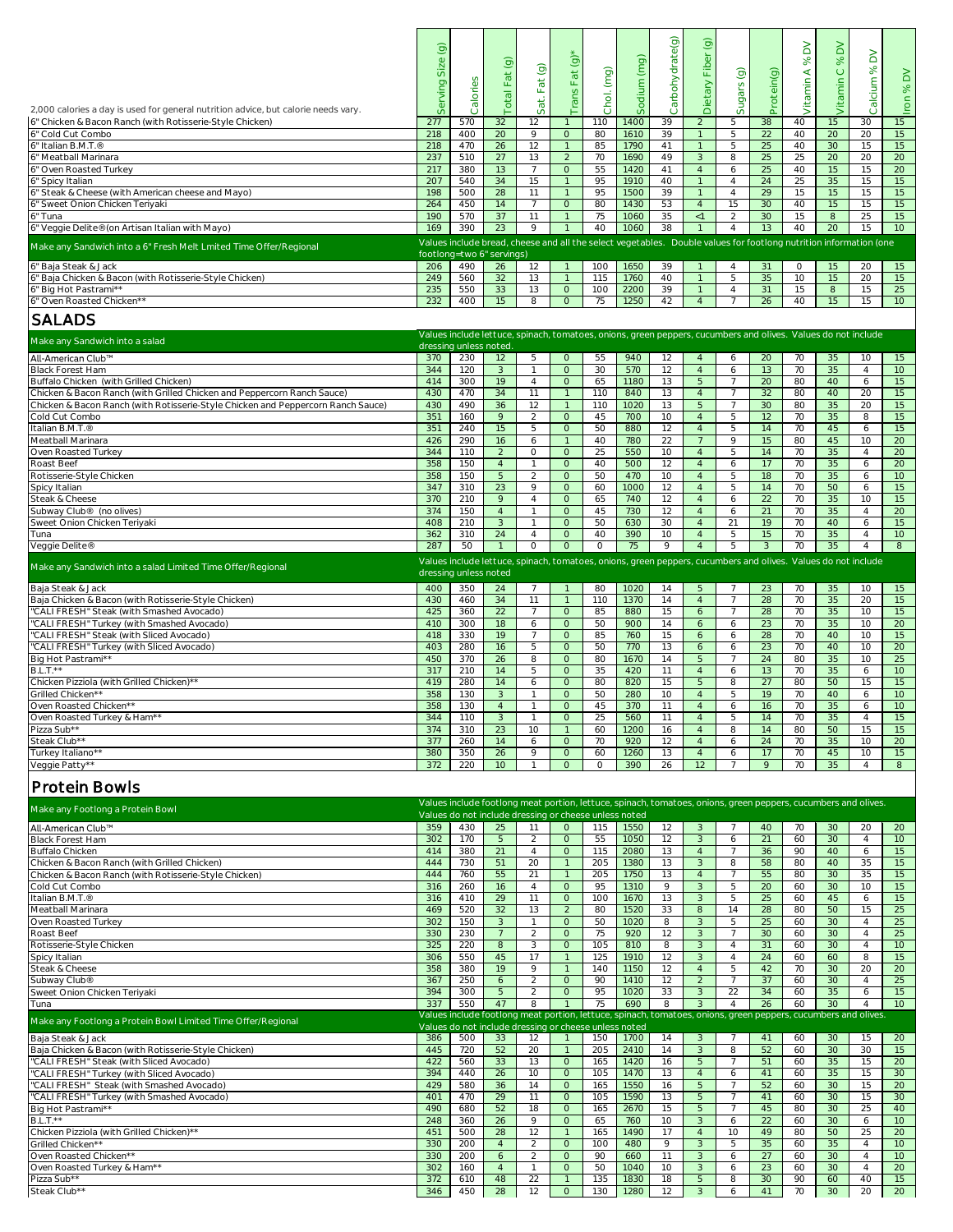|                                                                                                | $\odot$ |                        |                           |                                                                                                                   |                |            |             | Carbohydrate(g) | Dietary Fiber (g) |                |                 | $\geq$   | $\geq$          |                |                 |
|------------------------------------------------------------------------------------------------|---------|------------------------|---------------------------|-------------------------------------------------------------------------------------------------------------------|----------------|------------|-------------|-----------------|-------------------|----------------|-----------------|----------|-----------------|----------------|-----------------|
|                                                                                                |         |                        |                           |                                                                                                                   | $\odot$        |            |             |                 |                   |                |                 | $\infty$ | 8 <sup>o</sup>  | $\geq$         |                 |
|                                                                                                | Size    |                        |                           | $\odot$                                                                                                           |                |            |             |                 |                   |                |                 | $\prec$  |                 | $\aleph$       |                 |
|                                                                                                |         |                        | Total Fat (g)             |                                                                                                                   | Fat            | Chol. (mg) | Sodium (mg) |                 |                   | Sugars (g)     | Protein(g)      |          | Vitamin C       |                | $\geq$          |
|                                                                                                |         |                        |                           |                                                                                                                   |                |            |             |                 |                   |                |                 |          |                 |                |                 |
|                                                                                                | Serving | Calories               |                           | Sat. Fat                                                                                                          | Trans          |            |             |                 |                   |                |                 | Vitamin  |                 | Calcium        | Iron %          |
| 2,000 calories a day is used for general nutrition advice, but calorie needs vary.             |         |                        |                           |                                                                                                                   |                |            |             |                 |                   |                |                 |          |                 |                |                 |
| 6" Chicken & Bacon Ranch (with Rotisserie-Style Chicken)                                       | 277     | 570                    | 32                        | 12                                                                                                                |                | 110        | 1400        | 39              | 2                 | 5              | 38              | 40       | 15              | 30             | 15              |
| 6" Cold Cut Combo                                                                              | 218     | 400                    | $\overline{20}$           | 9                                                                                                                 | $\circ$        | 80         | 1610        | 39              | $\mathbf{1}$      | 5              | 22              | 40       | 20              | 20             | 15              |
|                                                                                                |         |                        |                           |                                                                                                                   |                |            |             |                 |                   |                |                 |          |                 |                |                 |
| 6" Italian B.M.T.®<br>6" Meatball Marinara<br>6" Oven Roasted Turkey                           | 218     | 470                    | 26                        | 12                                                                                                                | $\mathbf{1}$   | 85         | 1790        | 41              | $\overline{1}$    | 5              | 25              | 40       | 30              | 15             | 15              |
|                                                                                                | 237     | 510                    | 27                        | 13                                                                                                                | 2              | 70         | 1690        | 49              | $\mathbf{3}$      | 8              | 25              | 25       | $\overline{20}$ | 20             | 20              |
|                                                                                                | 217     | 380                    | 13                        | $\overline{7}$                                                                                                    | $\overline{O}$ | 55         | 1420        | 41              | $\overline{4}$    | 6              | 25              | 40       | 15              | 15             | 20              |
| 6" Spicy Italian                                                                               | 207     | 540                    | 34                        | 15                                                                                                                |                | 95         | 1910        | 40              | $\overline{1}$    | $\overline{4}$ | 24              | 25       | 35              | 15             | 15              |
|                                                                                                | 198     |                        | 28                        | 11                                                                                                                |                | 95         |             | 39              | $\mathbf{1}$      | $\overline{4}$ | 29              | 15       | 15              | 15             | 15              |
| 6" Steak & Cheese (with American cheese and Mayo)                                              |         | 500                    |                           |                                                                                                                   |                |            | 1500        |                 |                   |                |                 |          |                 |                |                 |
|                                                                                                | 264     | 450                    | 14                        | $\overline{7}$                                                                                                    | $\circ$        | 80         | 1430        | 53              | $\overline{4}$    | 15             | 30              | 40       | 15              | 15             | 15              |
| 6" Sweet Onion Chicken Teriyaki<br>6" Tuna<br>6" Veggie Delite® (on Artisan Italian with Mayo) | 190     | 570                    | 37                        | 11                                                                                                                |                | 75         | 1060        | 35              | $\leq$ 1          | 2              | 30              | 15       | 8               | 25             | 15              |
|                                                                                                | 169     | 390                    | 23                        | 9                                                                                                                 |                | 40         | 1060        | 38              | $\overline{1}$    | $\overline{4}$ | 13              | 40       | $\overline{20}$ | 15             | 10              |
|                                                                                                |         |                        |                           |                                                                                                                   |                |            |             |                 |                   |                |                 |          |                 |                |                 |
| Make any Sandwich into a 6" Fresh Melt Lmited Time Offer/Regional                              |         |                        |                           | Values include bread, cheese and all the select vegetables. Double values for footlong nutrition information (one |                |            |             |                 |                   |                |                 |          |                 |                |                 |
|                                                                                                |         |                        | footlong=two 6" servings) |                                                                                                                   |                |            |             |                 |                   |                |                 |          |                 |                |                 |
| 6" Baja Steak & Jack                                                                           | 206     | 490                    | 26                        | 12                                                                                                                |                | 100        | 1650        | 39              |                   | 4              | 31              | $\circ$  | 15              | 20             | 15              |
| 6" Baja Chicken & Bacon (with Rotisserie-Style Chicken)                                        | 249     | 560                    | 32                        | 13                                                                                                                |                | 115        | 1760        | 40              | $\mathbf{1}$      | 5              | 35              | 10       | 15              | 20             | 15              |
|                                                                                                | 235     | 550                    | 33                        | 13                                                                                                                | $\circ$        | 100        | 2200        | 39              | $\mathbf{1}$      | $\overline{4}$ | 31              | 15       | 8               | 15             | 25              |
| 6" Big Hot Pastrami**<br>6" Oven Roasted Chicken**                                             |         |                        |                           |                                                                                                                   |                |            |             |                 |                   |                |                 |          |                 |                |                 |
|                                                                                                | 232     | 400                    | 15                        | 8                                                                                                                 | $\circ$        | 75         | 1250        | 42              | $\overline{4}$    |                | 26              | 40       | 15              | 15             | 10              |
| <b>SALADS</b>                                                                                  |         |                        |                           |                                                                                                                   |                |            |             |                 |                   |                |                 |          |                 |                |                 |
|                                                                                                |         |                        |                           |                                                                                                                   |                |            |             |                 |                   |                |                 |          |                 |                |                 |
| Make any Sandwich into a salad                                                                 |         |                        |                           | Values include lettuce, spinach, tomatoes, onions, green peppers, cucumbers and olives. Values do not include     |                |            |             |                 |                   |                |                 |          |                 |                |                 |
|                                                                                                |         | dressing unless noted. |                           |                                                                                                                   |                |            |             |                 |                   |                |                 |          |                 |                |                 |
| All-American Club™                                                                             | 370     | 230                    | 12                        | 5                                                                                                                 | $\circ$        | 55         | 940         | 12              | $\overline{4}$    | 6              | 20              | 70       | 35              | 10             | 15              |
| <b>Black Forest Ham</b>                                                                        | 344     | 120                    | $\mathbf{3}$              | $\mathbf{1}$                                                                                                      | $\circ$        | 30         | 570         | 12              | $\overline{4}$    | 6              | 13              | 70       | 35              | $\overline{4}$ | 10 <sup>°</sup> |
|                                                                                                |         |                        |                           |                                                                                                                   |                |            |             |                 |                   |                |                 |          |                 |                |                 |
| Buffalo Chicken (with Grilled Chicken)                                                         | 414     | 300                    | $\overline{19}$           | $\overline{4}$                                                                                                    | $\circ$        | 65         | 1180        | 13              | 5                 | $\overline{7}$ | 20              | 80       | 40              | 6              | 15              |
| Chicken & Bacon Ranch (with Grilled Chicken and Peppercorn Ranch Sauce)                        | 430     | 470                    | 34                        | 11                                                                                                                |                | 110        | 840         | 13              | $\overline{4}$    | $\overline{7}$ | 32              | 80       | 40              | 20             | 15              |
| Chicken & Bacon Ranch (with Rotisserie-Style Chicken and Peppercorn Ranch Sauce)               | 430     | 490                    | 36                        | 12                                                                                                                |                | 110        | 1020        | 13              | 5                 | $\overline{7}$ | 30              | 80       | 35              | 20             | 15              |
| Cold Cut Combo                                                                                 | 351     | 160                    | 9                         | 2                                                                                                                 | $\circ$        | 45         | 700         | 10              | $\overline{4}$    | 5              | 12              | 70       | 35              | 8              | 15              |
| Italian B.M.T.®                                                                                | 351     | 240                    | 15                        | 5                                                                                                                 | $\circ$        | 50         | 880         | 12              | $\overline{4}$    | 5              | 14              | 70       | 45              |                | 15              |
|                                                                                                |         |                        |                           |                                                                                                                   |                |            |             |                 |                   |                |                 |          |                 | 6              |                 |
| Meatball Marinara                                                                              | 426     | 290                    | 16                        | 6                                                                                                                 | $\mathbf{1}$   | 40         | 780         | 22              | $\overline{7}$    | 9              | 15              | 80       | 45              | 10             | 20              |
| Oven Roasted Turkey                                                                            | 344     | 110                    | 2                         | $\circ$                                                                                                           | $\circ$        | 25         | 550         | 10              | $\overline{4}$    | 5              | 14              | 70       | 35              | $\overline{4}$ | 20              |
| Roast Beef                                                                                     | 358     | 150                    | $\overline{4}$            | $\mathbf{1}$                                                                                                      | $\Omega$       | 40         | 500         | 12              | $\overline{4}$    | 6              | 17              | 70       | 35              | 6              | 20              |
| Rotisserie-Style Chicken                                                                       | 358     | 150                    | 5                         | 2                                                                                                                 | $\overline{O}$ | 50         | 470         | 10              | $\overline{4}$    | 5              | 18              | 70       | 35              | 6              | 10              |
| Spicy Italian                                                                                  | 347     | 310                    | 23                        | 9                                                                                                                 | $\circ$        | 60         | 1000        | 12              | $\overline{4}$    | 5              | 14              | 70       | 50              |                | 15              |
|                                                                                                |         |                        |                           |                                                                                                                   |                |            |             |                 |                   |                |                 |          |                 | 6              |                 |
| Steak & Cheese                                                                                 | 370     | 210                    | 9                         | $\overline{4}$                                                                                                    | $\overline{O}$ | 65         | 740         | 12              | $\overline{4}$    | 6              | 22              | 70       | 35              | 10             | 15              |
| Subway Club <sup>®</sup> (no olives)                                                           | 374     | 150                    | $\overline{4}$            |                                                                                                                   | $\circ$        | 45         | 730         | 12              | $\overline{4}$    | 6              | $\overline{21}$ | 70       | 35              | $\overline{4}$ | 20              |
| Sweet Onion Chicken Teriyaki                                                                   | 408     | 210                    | 3                         |                                                                                                                   | $\Omega$       | 50         | 630         | 30              | $\overline{4}$    | 21             | 19              | 70       | 40              | 6              | 15              |
| Tuna                                                                                           | 362     | 310                    | 24                        | $\overline{4}$                                                                                                    | $\circ$        | 40         | 390         | 10              | $\overline{4}$    | 5              | 15              | 70       | 35              | $\overline{4}$ | 10              |
| Veggie Delite®                                                                                 | 287     | 50                     |                           | $\circ$                                                                                                           | $\circ$        | $\circ$    | 75          | 9               | $\overline{4}$    | 5              | 3               | 70       | 35              | $\overline{4}$ | 8               |
|                                                                                                |         |                        |                           |                                                                                                                   |                |            |             |                 |                   |                |                 |          |                 |                |                 |
| Make any Sandwich into a salad Limited Time Offer/Regional                                     |         |                        |                           | Values include lettuce, spinach, tomatoes, onions, green peppers, cucumbers and olives. Values do not include     |                |            |             |                 |                   |                |                 |          |                 |                |                 |
|                                                                                                |         | dressing unless noted  |                           |                                                                                                                   |                |            |             |                 |                   |                |                 |          |                 |                |                 |
|                                                                                                |         |                        |                           |                                                                                                                   |                |            |             |                 |                   |                |                 |          |                 |                |                 |
| Baja Steak & Jack<br>Baja Chicken & Bacon (with Rotisserie-Style Chicken)                      | 400     | 350                    | 24                        | 7                                                                                                                 |                | 80         | 1020        | 14              | $5\overline{)}$   | 7              | 23              | 70       | 35              | 10             | 15              |
|                                                                                                | 430     | 460                    | 34                        | 11                                                                                                                | $\mathbf{1}$   | 110        | 1370        | 14              | $\overline{4}$    | $\overline{7}$ | 28              | 70       | 35              | 20             | 15              |
| "CALI FRESH" Steak (with Smashed Avocado)                                                      | 425     | 360                    | 22                        | 7                                                                                                                 | $\circ$        | 85         | 880         | 15              | 6                 | 7              | 28              | 70       | 35              | 10             | 15              |
| "CALI FRESH" Turkey (with Smashed Avocado)                                                     | 410     | 300                    | 18                        | 6                                                                                                                 | $\circ$        | 50         | 900         | 14              | 6                 | 6              | 23              | 70       | 35              | 10             | 20              |
| "CALI FRESH" Steak (with Sliced Avocado)                                                       | 418     | 330                    | $\overline{19}$           | $\overline{7}$                                                                                                    | $\circ$        | 85         | 760         | 15              | 6                 | 6              | 28              | 70       | 40              | 10             | 15              |
| "CALI FRESH" Turkey (with Sliced Avocado)                                                      | 403     | 280                    | 16                        | 5                                                                                                                 | $\overline{O}$ | 50         | 770         | 13              |                   |                |                 | 70       | 40              | 10             | 20              |
|                                                                                                |         |                        |                           |                                                                                                                   |                |            |             |                 | 6                 | 6              | 23              |          |                 |                |                 |
| Big Hot Pastrami**                                                                             | 450     | 370                    | $\overline{26}$           | 8                                                                                                                 | $\overline{O}$ | 80         | 1670        | 14              | 5                 | $\overline{7}$ | 24              | 80       | 35              | 10             | 25              |
| $B.L.T.**$                                                                                     | 317     | 210                    | 14                        | 5                                                                                                                 | $\circ$        | 35         | 420         | 11              | $\overline{4}$    | 6              | 13              | 70       | 35              | 6              | 10              |
| Chicken Pizziola (with Grilled Chicken)**                                                      | 419     | 280                    | 14                        | 6                                                                                                                 | $\circ$        | 80         | 820         | 15              | 5                 | 8              | 27              | 80       | 50              | 15             | 15              |
| Grilled Chicken**                                                                              | 358     | 130                    | 3                         |                                                                                                                   | $\circ$        | 50         | 280         | 10              | $\overline{4}$    | 5              | 19              | $70$     | 40              | 6              | 10              |
| Oven Roasted Chicken**                                                                         |         |                        |                           | $\overline{1}$                                                                                                    |                |            |             |                 |                   |                |                 |          |                 |                | 10              |
|                                                                                                | 358     | 130                    | $\overline{4}$            |                                                                                                                   | $\circ$        | 45         | 370         | 11              | $\overline{4}$    | 6              | 16              | 70       | 35              | 6              |                 |
| Oven Roasted Turkey & Ham**                                                                    | 344     | 110                    | 3                         | $\mathbf{1}$                                                                                                      | $\overline{O}$ | 25         | 560         | 11              | $\overline{4}$    | 5              | 14              | 70       | 35              | $\overline{4}$ | 15              |
| Pizza Sub**                                                                                    | 374     | 310                    | 23                        | 10                                                                                                                |                | 60         | 1200        | 16              | $\overline{4}$    | 8              | 14              | 80       | 50              | 15             | 15              |
| Steak Club**                                                                                   | 377     | 260                    | 14                        | 6                                                                                                                 | $\circ$        | 70         | 920         | 12              | $\overline{4}$    | 6              | 24              | 70       | 35              | 10             | 20              |
| Turkey Italiano**                                                                              | 380     | 350                    | 26                        | 9                                                                                                                 | $\circ$        | 60         | 1260        | 13              | $\overline{4}$    | 6              | 17              | 70       | 45              | 10             | 15              |
|                                                                                                |         |                        |                           |                                                                                                                   |                |            |             |                 |                   |                | 9               | 70       |                 |                | 8               |
| Veggie Patty**                                                                                 | 372     | 220                    | 10                        |                                                                                                                   | $\Omega$       | $\circ$    | 390         | 26              | 12                |                |                 |          | 35              | $\overline{A}$ |                 |
|                                                                                                |         |                        |                           |                                                                                                                   |                |            |             |                 |                   |                |                 |          |                 |                |                 |
| Protein Bowls                                                                                  |         |                        |                           |                                                                                                                   |                |            |             |                 |                   |                |                 |          |                 |                |                 |
|                                                                                                |         |                        |                           | Values include footlong meat portion, lettuce, spinach, tomatoes, onions, green peppers, cucumbers and olives.    |                |            |             |                 |                   |                |                 |          |                 |                |                 |
| Make any Footlong a Protein Bowl                                                               |         |                        |                           |                                                                                                                   |                |            |             |                 |                   |                |                 |          |                 |                |                 |
|                                                                                                |         |                        |                           | Values do not include dressing or cheese unless noted                                                             |                |            |             |                 |                   |                |                 |          |                 |                |                 |

| Make any Footlong a Protein Bowl                             |     | Values do not include dressing or cheese unless noted |                |                |                                                       |     |                                                                                                               |             |                |                 |                 |    |                 |                |                 |
|--------------------------------------------------------------|-----|-------------------------------------------------------|----------------|----------------|-------------------------------------------------------|-----|---------------------------------------------------------------------------------------------------------------|-------------|----------------|-----------------|-----------------|----|-----------------|----------------|-----------------|
| All-American Club™                                           | 359 | 430                                                   | 25             | 11             | $\Omega$                                              | 115 | 1550                                                                                                          | 12          | 3              |                 | 40              | 70 | 30              | 20             | 20              |
| <b>Black Forest Ham</b>                                      | 302 | 170                                                   | $\overline{5}$ | 2              | $\Omega$                                              | 55  | 1050                                                                                                          | 12          | 3              | 6               | 21              | 60 | 30              | $\overline{A}$ | 10 <sup>°</sup> |
| <b>Buffalo Chicken</b>                                       | 414 | 380                                                   | 21             | $\overline{A}$ | $\Omega$                                              | 115 | 2080                                                                                                          | 13          | $\overline{A}$ |                 | 36              | 90 | 40              | 6              | 15              |
| Chicken & Bacon Ranch (with Grilled Chicken)                 | 444 | 730                                                   | 51             | 20             |                                                       | 205 | 1380                                                                                                          | 13          | 3              | 8               | 58              | 80 | 40              | 35             | 15              |
| Chicken & Bacon Ranch (with Rotisserie-Style Chicken)        | 444 | 760                                                   | 55             | 21             |                                                       | 205 | 1750                                                                                                          | 13          | $\overline{A}$ |                 | 55              | 80 | 30              | 35             | 15              |
| Cold Cut Combo                                               | 316 | 260                                                   | 16             | $\Delta$       | $\Omega$                                              | 95  | 1310                                                                                                          | $\mathsf Q$ | $\overline{3}$ | 5               | 20              | 60 | 30              | 10             | 15              |
| Italian B.M.T.®                                              | 316 | 410                                                   | 29             | 11             | $\Omega$                                              | 100 | 1670                                                                                                          | 13          | 3              | 5               | 25              | 60 | 45              | 6              | 15              |
| Meatball Marinara                                            | 469 | 520                                                   | 32             | 13             | $\mathcal{P}$                                         | 80  | 1520                                                                                                          | 33          | 8              | 14              | 28              | 80 | 50              | 15             | 25              |
| Oven Roasted Turkey                                          | 302 | 150                                                   | $\overline{3}$ |                | $\Omega$                                              | 50  | 1020                                                                                                          | 8           | 3              | 5               | 25              | 60 | 30              | $\overline{4}$ | 25              |
| Roast Beef                                                   | 330 | 230                                                   |                | 2              | $\Omega$                                              | 75  | 920                                                                                                           | 12          | 3              |                 | 30              | 60 | 30              | $\overline{A}$ | 25              |
| Rotisserie-Style Chicken                                     | 325 | 220                                                   | 8              | 3              | $\Omega$                                              | 105 | 810                                                                                                           | 8           | $\mathcal{R}$  | $\overline{4}$  | 31              | 60 | 30              | $\overline{4}$ | 10 <sup>°</sup> |
| Spicy Italian                                                | 306 | 550                                                   | 45             | 17             |                                                       | 125 | 1910                                                                                                          | 12          | 3              | $\Delta$        | 24              | 60 | 60              | 8              | 15              |
| Steak & Cheese                                               | 358 | 380                                                   | 19             | 9              |                                                       | 140 | 1150                                                                                                          | 12          | $\overline{A}$ | 5               | 42              | 70 | 30              | 20             | 20              |
| Subway Club®                                                 | 367 | 250                                                   | 6              | $\mathfrak{D}$ | $\Omega$                                              | 90  | 1410                                                                                                          | 12          | 2              |                 | 37              | 60 | 30              | $\overline{A}$ | 25              |
| Sweet Onion Chicken Teriyaki                                 | 394 | 300                                                   | 5              | $\mathfrak{D}$ | $\Omega$                                              | 95  | 1020                                                                                                          | 33          | 3              | 22              | 34              | 60 | 35              | 6              | 15              |
| Tuna                                                         | 337 | 550                                                   | 47             | 8              |                                                       | 75  | 690                                                                                                           | 8           | $\mathcal{S}$  | $\overline{4}$  | $\overline{26}$ | 60 | 30 <sup>°</sup> | $\overline{4}$ | 10 <sup>°</sup> |
| Make any Footlong a Protein Bowl Limited Time Offer/Regional |     |                                                       |                |                |                                                       |     | Values include footlong meat portion, lettuce, spinach, tomatoes, onions, green peppers, cucumbers and olives |             |                |                 |                 |    |                 |                |                 |
|                                                              |     |                                                       |                |                | Values do not include dressing or cheese unless noted |     |                                                                                                               |             |                |                 |                 |    |                 |                |                 |
| Baja Steak & Jack                                            | 386 | 500                                                   | 33             | 12             |                                                       | 150 | 1700                                                                                                          | 14          | $\mathcal{B}$  |                 | 41              | 60 | 30              | 15             | 20              |
| Baja Chicken & Bacon (with Rotisserie-Style Chicken)         | 445 | 720                                                   | 52             | 20             |                                                       | 205 | 2410                                                                                                          | 14          | 3              | 8               | 52              | 60 | 30              | 30             | 15              |
| "CALI FRESH" Steak (with Sliced Avocado)                     | 422 | 560                                                   | 33             | 13             | $\Omega$                                              | 165 | 1420                                                                                                          | 16          | 5              |                 | 51              | 60 | 35              | 15             | 20              |
| "CALI FRESH" Turkey (with Sliced Avocado)                    | 394 | 440                                                   | 26             | 10             | $\circ$                                               | 105 | 1470                                                                                                          | 13          | $\overline{A}$ | 6               | 41              | 60 | 35              | 15             | 30              |
| "CALI FRESH" Steak (with Smashed Avocado)                    | 429 | 580                                                   | 36             | 14             | $\Omega$                                              | 165 | 1550                                                                                                          | 16          | 5              |                 | 52              | 60 | 30              | 15             | 20              |
| "CALI FRESH" Turkey (with Smashed Avocado)                   | 401 | 470                                                   | 29             | 11             | $\Omega$                                              | 105 | 1590                                                                                                          | 13          | 5              | $\overline{7}$  | 41              | 60 | 30              | 15             | 30              |
| Big Hot Pastrami**                                           | 490 | 680                                                   | 52             | 18             | $\Omega$                                              | 165 | 2670                                                                                                          | 15          | 5              |                 | 45              | 80 | 30              | 25             | 40              |
| $B.L.T.**$                                                   | 248 | 360                                                   | 26             | 9              | $\Omega$                                              | 65  | 760                                                                                                           | 10          | 3              | 6               | 22              | 60 | 30              | 6              | 10 <sup>°</sup> |
| Chicken Pizziola (with Grilled Chicken)**                    | 451 | 500                                                   | 28             | 12             |                                                       | 165 | 1490                                                                                                          | 17          | $\Delta$       | 10 <sup>1</sup> | 49              | 80 | 50              | 25             | 20              |
| Grilled Chicken**                                            | 330 | 200                                                   | $\overline{A}$ | $\mathcal{P}$  | $\Omega$                                              | 100 | 480                                                                                                           | 9           | 3              | 5               | 35              | 60 | 35              | $\overline{4}$ | 10              |
| Oven Roasted Chicken**                                       | 330 | 200                                                   | 6              | 2              | $\Omega$                                              | 90  | 660                                                                                                           | 11          | 3              | 6               | 27              | 60 | 30              | $\overline{A}$ | 10              |
| Oven Roasted Turkey & Ham**                                  | 302 | 160                                                   | $\overline{A}$ |                | $\Omega$                                              | 50  | 1040                                                                                                          | 10          | 3              | 6               | 23              | 60 | 30              | $\overline{4}$ | 20              |
| Pizza Sub**                                                  | 372 | 610                                                   | 48             | 22             |                                                       | 135 | 1830                                                                                                          | 18          | 5              | 8               | 30              | 90 | 60              | 40             | 15              |
| Steak Club**                                                 | 346 | 450                                                   | 28             | 12             | $\Omega$                                              | 130 | 1280                                                                                                          | 12          | 3              | 6               | 41              | 70 | 30              | 20             | 20              |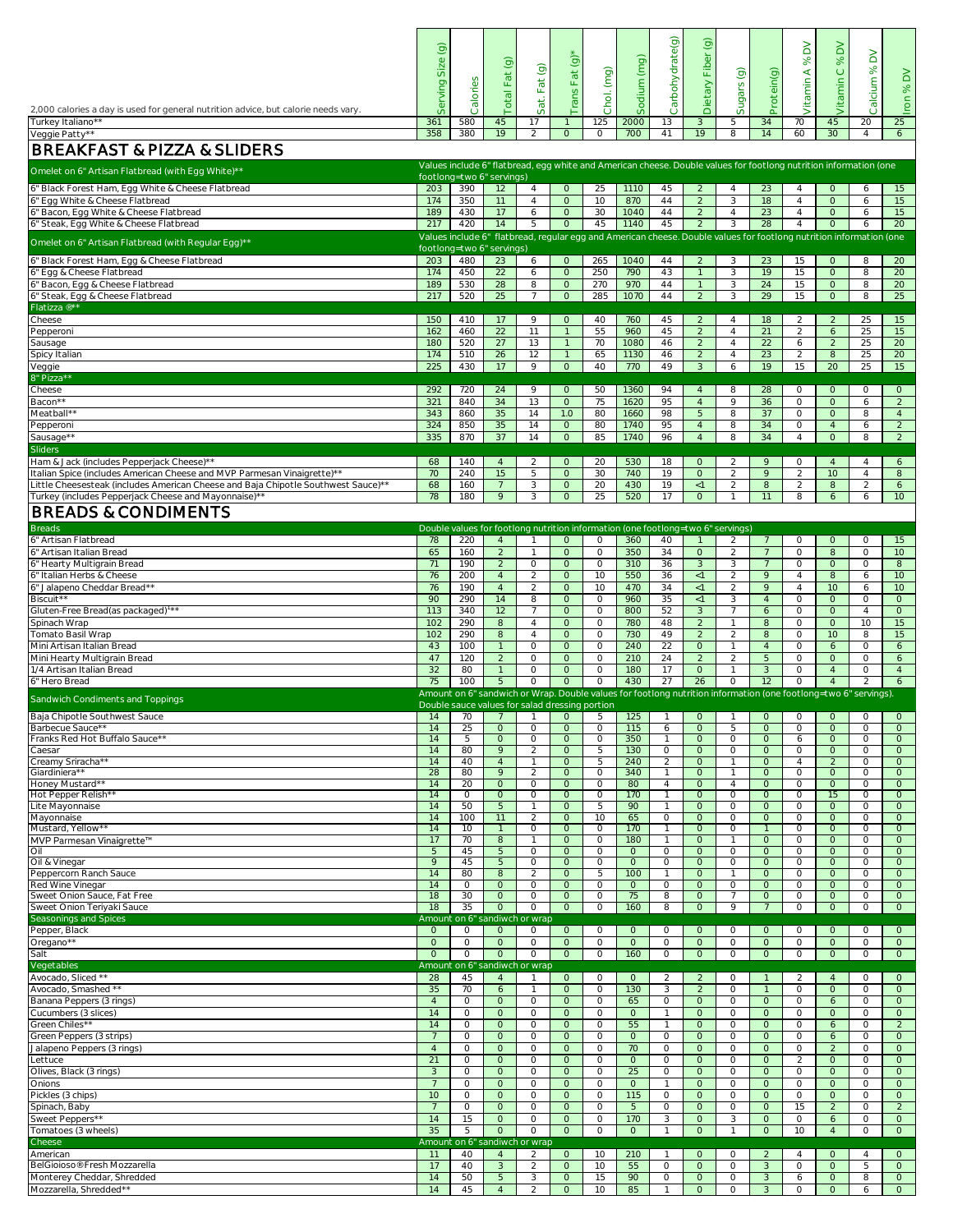|                                                                                                                                           | $\widehat{\Theta}$<br>Size |                                                                                 | $\odot$                        |                     | Fat $(g)$ <sup>*</sup>  |                    | Sodium (mg)            | Carbohydrate(g)                  | $\widehat{\mathcal{Q}}$<br>Dietary Fiber |                                  |                              | $\geq$<br>$\gg$     | $\geq$<br>$\infty$                                                                                                               | $\geq$                    | $\geq$                    |
|-------------------------------------------------------------------------------------------------------------------------------------------|----------------------------|---------------------------------------------------------------------------------|--------------------------------|---------------------|-------------------------|--------------------|------------------------|----------------------------------|------------------------------------------|----------------------------------|------------------------------|---------------------|----------------------------------------------------------------------------------------------------------------------------------|---------------------------|---------------------------|
|                                                                                                                                           | Serving                    | Calories                                                                        | <b>Total Fat</b>               | Fat(g)              |                         | Chol. (mg)         |                        |                                  |                                          | Sugars (g)                       | Protein(g)                   | Vitamin A           | Vitamin C                                                                                                                        | Calcium %                 | $\infty$                  |
| 2,000 calories a day is used for general nutrition advice, but calorie needs vary.                                                        |                            |                                                                                 |                                | Sat.                | Trans                   |                    |                        |                                  |                                          |                                  |                              |                     |                                                                                                                                  |                           | ron                       |
| Turkey Italiano**                                                                                                                         | 361                        | 580                                                                             | 45                             | 17                  |                         | 125                | 2000                   | 13                               | 3                                        | 5                                | 34                           | 70                  | 45                                                                                                                               | 20                        | 25                        |
| Veggie Patty**                                                                                                                            | 358                        | 380                                                                             | 19                             | 2                   | $\circ$                 | $\circ$            | 700                    | 41                               | 19                                       | 8                                | 14                           | 60                  | 30                                                                                                                               | $\overline{4}$            | 6                         |
| <b>BREAKFAST &amp; PIZZA &amp; SLIDERS</b>                                                                                                |                            |                                                                                 |                                |                     |                         |                    |                        |                                  |                                          |                                  |                              |                     | Values include 6" flatbread, egg white and American cheese. Double values for footlong nutrition information (one                |                           |                           |
| Omelet on 6" Artisan Flatbread (with Egg White)**                                                                                         |                            | footlong=two 6" servings)                                                       |                                |                     |                         |                    |                        |                                  |                                          |                                  |                              |                     |                                                                                                                                  |                           |                           |
| 6" Black Forest Ham, Egg White & Cheese Flatbread<br>6" Egg White & Cheese Flatbread                                                      | 203<br>174                 | 390<br>350                                                                      | $\overline{12}$<br>11          | $\overline{4}$      | $\circ$<br>$\circ$      | 25<br>10           | 1110<br>870            | 45<br>44                         | $\overline{2}$<br>2                      | $\overline{4}$<br>3              | 23<br>18                     | 4<br>$\overline{4}$ | $\circ$<br>$\circ$                                                                                                               | 6<br>6                    | 15                        |
| 6" Bacon, Egg White & Cheese Flatbread                                                                                                    | 189                        | 430                                                                             | 17                             | $\overline{4}$<br>6 | $\circ$                 | 30                 | 1040                   | 44                               | $\overline{2}$                           | $\overline{4}$                   | 23                           | $\overline{4}$      | $\circ$                                                                                                                          | 6                         | 15<br>15                  |
| 6" Steak, Egg White & Cheese Flatbread                                                                                                    | 217                        | 420                                                                             | 14                             | 5                   | $\circ$                 | 45                 | 1140                   | 45                               | $\overline{2}$                           | 3                                | 28                           | 4                   | $\circ$                                                                                                                          | 6                         | 20                        |
| Omelet on 6" Artisan Flatbread (with Regular Egg)**                                                                                       |                            | footlong=two 6" servings)                                                       |                                |                     |                         |                    |                        |                                  |                                          |                                  |                              |                     | Values include 6" flatbread, regular egg and American cheese. Double values for footlong nutrition information (one              |                           |                           |
| 6" Black Forest Ham, Egg & Cheese Flatbread                                                                                               | 203                        | 480                                                                             | $\overline{23}$                | 6                   | $\circ$                 | 265                | 1040                   | 44                               | 2                                        | 3                                | 23                           | 15                  | $\circ$                                                                                                                          | 8                         | 20                        |
| 6" Egg & Cheese Flatbread                                                                                                                 | 174                        | 450                                                                             | $\overline{22}$                | 6                   | $\circ$                 | 250                | 790                    | 43                               |                                          | 3                                | 19                           | 15                  | $\circ$                                                                                                                          | 8                         | 20                        |
| 6" Bacon, Egg & Cheese Flatbread<br>6" Steak, Egg & Cheese Flatbread                                                                      | 189<br>217                 | 530<br>520                                                                      | 28<br>25                       | 8<br>$\overline{7}$ | $\circ$<br>$\circ$      | 270<br>285         | 970<br>1070            | 44<br>44                         | $\mathcal{P}$                            | 3<br>3                           | $\overline{24}$<br>29        | 15<br>15            | $\circ$<br>$\circ$                                                                                                               | 8<br>8                    | 20<br>25                  |
| Flatizza ®**                                                                                                                              |                            |                                                                                 |                                |                     |                         |                    |                        |                                  |                                          |                                  |                              |                     |                                                                                                                                  |                           |                           |
| Cheese<br>Pepperoni                                                                                                                       | 150<br>162                 | 410<br>460                                                                      | 17<br>$\overline{22}$          | 9<br>11             | $\circ$<br>$\mathbf{1}$ | 40<br>55           | 760<br>960             | 45<br>45                         | $\mathcal{D}$<br>2                       | $\overline{4}$<br>$\overline{4}$ | 18<br>21                     | $\mathcal{L}$<br>2  | 2<br>6                                                                                                                           | 25<br>25                  | 15<br>15                  |
| Sausage                                                                                                                                   | 180                        | 520                                                                             | 27                             | 13                  |                         | 70                 | 1080                   | 46                               | $\overline{2}$                           | $\overline{4}$                   | 22                           | 6                   | $\overline{2}$                                                                                                                   | 25                        | 20                        |
| Spicy Italian                                                                                                                             | 174<br>225                 | 510<br>430                                                                      | 26<br>17                       | 12<br>9             | $\circ$                 | 65<br>40           | 1130<br>770            | 46<br>49                         | $\overline{2}$<br>$\mathbf{3}$           | $\overline{4}$<br>6              | 23<br>19                     | 2<br>15             | 8<br>20                                                                                                                          | 25<br>25                  | 20<br>15                  |
| Veggie<br>8" Pizza**                                                                                                                      |                            |                                                                                 |                                |                     |                         |                    |                        |                                  |                                          |                                  |                              |                     |                                                                                                                                  |                           |                           |
| Cheese                                                                                                                                    | 292                        | 720                                                                             | 24                             | 9                   | $\circ$                 | 50                 | 1360                   | 94                               | $\overline{4}$                           | 8                                | 28                           | $\circ$             | $\circ$                                                                                                                          | $\circ$                   | $\circ$                   |
| Bacon**<br>Meatball**                                                                                                                     | 321<br>343                 | 840<br>860                                                                      | 34<br>35                       | 13<br>14            | $\circ$<br>1.0          | 75<br>80           | 1620<br>1660           | 95<br>98                         | $\overline{4}$<br>5 <sup>5</sup>         | 9<br>8                           | 36<br>37                     | $\circ$<br>$\circ$  | $\circ$<br>$\circ$                                                                                                               | 6<br>8                    | 2<br>$\overline{4}$       |
| Pepperoni                                                                                                                                 | 324                        | 850                                                                             | 35                             | 14                  | $\circ$                 | 80                 | 1740                   | 95                               | $\overline{4}$                           | 8                                | 34                           | $\circ$             | $\overline{4}$                                                                                                                   | 6                         | 2                         |
| Sausage**<br><b>Sliders</b>                                                                                                               | 335                        | 870                                                                             | 37                             | 14                  | $\circ$                 | 85                 | 1740                   | 96                               | $\overline{A}$                           | 8                                | 34                           | $\overline{A}$      | $\Omega$                                                                                                                         | 8                         | 2                         |
| Ham & Jack (includes Pepperjack Cheese)**                                                                                                 | 68                         | 140                                                                             | $\overline{4}$                 | 2                   | $\circ$                 | 20                 | 530                    | 18                               | $\circ$                                  | $\overline{2}$                   | 9                            | $\circ$             | $\overline{4}$                                                                                                                   | 4                         | 6                         |
| Italian Spice (includes American Cheese and MVP Parmesan Vinaigrette)**                                                                   | 70                         | 240                                                                             | 15                             | 5                   | $\circ$                 | 30                 | 740                    | 19                               | $\circ$                                  | 2                                | 9                            | 2                   | 10 <sup>°</sup>                                                                                                                  | $\overline{4}$            | 8                         |
| Little Cheesesteak (includes American Cheese and Baja Chipotle Southwest Sauce)**<br>Turkey (includes Pepperjack Cheese and Mayonnaise)** | 68<br>78                   | 160<br>180                                                                      | $\overline{7}$<br>9            | 3<br>3              | $\circ$<br>$\Omega$     | 20<br>25           | 430<br>520             | 19<br>17                         | $<$ 1<br>$\circ$                         | 2                                | 8<br>11                      | 2<br>8              | 8<br>6                                                                                                                           | 2<br>6                    | 6<br>10                   |
| <b>BREADS &amp; CONDIMENTS</b>                                                                                                            |                            |                                                                                 |                                |                     |                         |                    |                        |                                  |                                          |                                  |                              |                     |                                                                                                                                  |                           |                           |
| Breads                                                                                                                                    |                            | Double values for footlong nutrition information (one footlong=two 6" servings) |                                |                     |                         |                    |                        |                                  |                                          |                                  |                              |                     |                                                                                                                                  |                           |                           |
| 6" Artisan Flatbread                                                                                                                      | 78                         | 220                                                                             | $\overline{4}$                 |                     | $\circ$                 | $\circ$            | 360                    | 40                               |                                          | 2                                | $\overline{7}$               | $\circ$             | $\circ$                                                                                                                          | $\circ$                   | 15                        |
| 6" Artisan Italian Bread<br>6" Hearty Multigrain Bread                                                                                    | 65<br>71                   | 160<br>190                                                                      | 2<br>2                         | $\circ$             | $\circ$<br>$\circ$      | $\circ$<br>$\circ$ | 350<br>310             | 34<br>36                         | $\circ$<br>$\mathbf{3}$                  | 2<br>3                           | $7\overline{ }$<br>7         | $\circ$<br>$\circ$  | 8<br>$\circ$                                                                                                                     | $\Omega$<br>$\circ$       | 10<br>8                   |
| 6" Italian Herbs & Cheese                                                                                                                 | 76                         | 200                                                                             | $\overline{4}$                 | $\mathcal{D}$       | $\circ$                 | 10                 | 550                    | 36                               | <1                                       | 2                                | 9                            | $\overline{4}$      | 8                                                                                                                                | 6                         | 10                        |
| 6" Jalapeno Cheddar Bread**                                                                                                               | 76                         | 190                                                                             | $\overline{4}$                 | 2                   | $\circ$                 | 10                 | 470                    | 34                               | <1                                       | 2                                | 9                            | $\overline{4}$      | 10                                                                                                                               | 6                         | 10                        |
| Biscuit**<br>Gluten-Free Bread(as packaged) <sup>1**</sup>                                                                                | 90<br>113                  | 290<br>340                                                                      | 14<br>12                       | 8                   | $\circ$<br>$\circ$      | $\circ$<br>$\circ$ | 960<br>800             | 35<br>52                         | $\leq$ 1<br>3                            | 3                                | $\overline{4}$<br>6          | $\circ$<br>$\circ$  | $\circ$<br>$\circ$                                                                                                               | $\circ$<br>$\overline{4}$ | $\circ$<br>$\circ$        |
| Spinach Wrap                                                                                                                              | 102                        | 290                                                                             | 8                              | $\overline{4}$      | $\Omega$                | $\circ$            | 780                    | 48                               | $\mathcal{P}$                            | - 1                              | 8                            | $\Omega$            | $\Omega$                                                                                                                         | 10                        | 15                        |
| Tomato Basil Wrap<br>Mini Artisan Italian Bread                                                                                           | 102<br>43                  | 290<br>100                                                                      | 8                              | -4<br>$\circ$       | $\circ$<br>$\circ$      | $\circ$<br>$\circ$ | 730<br>240             | 49<br>22                         | $\mathcal{P}$<br>$\circ$                 | $\mathcal{P}$<br>$\overline{1}$  | 8<br>$\overline{4}$          | $\circ$<br>$\circ$  | 10<br>6                                                                                                                          | 8<br>$\circ$              | 15<br>6                   |
| Mini Hearty Multigrain Bread                                                                                                              | 47                         | 120                                                                             | 2                              | $\circ$             | $\circ$                 | $\circ$            | 210                    | 24                               | $\overline{2}$                           | 2                                | 5 <sup>5</sup>               | $\circ$             | $\circ$                                                                                                                          | $\circ$                   | 6                         |
| 1/4 Artisan Italian Bread                                                                                                                 | 32                         | 80                                                                              |                                | $\circ$             | $\circ$                 | $\circ$            | 180                    | 17                               | $\Omega$                                 | -1                               | $\overline{3}$               | $\circ$             | $\overline{4}$                                                                                                                   | $\circ$                   | $\overline{4}$            |
| 6" Hero Bread                                                                                                                             | 75                         | 100                                                                             | -5                             | $\circ$             | $\circ$                 | $\circ$            | 430                    | 27                               | 26                                       | $\circ$                          | 12                           | $\circ$             | $\overline{A}$<br>Amount on 6" sandwich or Wrap. Double values for footlong nutrition information (one footlong=two 6" servings) | $\mathcal{P}$             | 6                         |
| Sandwich Condiments and Toppings                                                                                                          |                            | Double sauce values for salad dressing portion                                  |                                |                     |                         |                    |                        |                                  |                                          |                                  |                              |                     |                                                                                                                                  |                           |                           |
| Baja Chipotle Southwest Sauce<br>Barbecue Sauce**                                                                                         | 14<br>14                   | 70<br>25                                                                        | $\circ$                        | $\circ$             | $\circ$<br>$\circ$      | 5<br>$\circ$       | 125<br>115             | -1<br>6                          | $\circ$<br>$\Omega$                      | -5                               | $\circ$<br>$\circ$           | $\circ$<br>$\circ$  | $\circ$<br>$\circ$                                                                                                               | $\circ$<br>$\circ$        | $\circ$<br>$\circ$        |
| Franks Red Hot Buffalo Sauce**                                                                                                            | 14                         | -5                                                                              | $\Omega$                       | $\circ$             | $\circ$                 | $\circ$            | 350                    | -1                               | $\Omega$                                 | $\circ$                          | $\circ$                      | 6                   | $\circ$                                                                                                                          | $\circ$                   | $\circ$                   |
| Caesar<br>Creamy Sriracha**                                                                                                               | 14<br>14                   | 80<br>40                                                                        | $\mathsf{Q}$<br>$\overline{4}$ | $\mathcal{P}$       | $\circ$<br>$\circ$      | 5<br>5             | 130<br>240             | $\circ$<br>$\overline{2}$        | $\Omega$<br>$\circ$                      | $\Omega$<br>-1                   | $\circ$<br>$\circ$           | $\circ$<br>4        | $\circ$<br>2                                                                                                                     | $\circ$<br>$\circ$        | $\circ$<br>$\circ$        |
| Giardiniera**                                                                                                                             | 28                         | 80                                                                              | 9                              | 2                   | $\circ$                 | $\circ$            | 340                    | $\overline{1}$                   | $\circ$                                  | $\overline{1}$                   | $\circ$                      | $\circ$             | $\circ$                                                                                                                          | $\circ$                   | $\circ$                   |
| Honey Mustard**<br>Hot Pepper Relish**                                                                                                    | 14<br>14                   | 20<br>$\circ$                                                                   | $\circ$<br>$\circ$             | $\circ$<br>$\circ$  | $\circ$<br>$\circ$      | $\circ$<br>$\circ$ | 80<br>170              | $\overline{4}$<br>$\overline{1}$ | $\circ$<br>$\circ$                       | 4<br>$\circ$                     | $\circ$<br>$\circ$           | $\circ$<br>$\circ$  | $\circ$<br>15                                                                                                                    | $\circ$<br>$\circ$        | $\circ$<br>$\circ$        |
| Lite Mayonnaise                                                                                                                           | 14                         | 50                                                                              | 5                              |                     | $\circ$                 | -5                 | 90                     | -1                               | $\Omega$                                 | $\circ$                          | $\circ$                      | $\circ$             | $\circ$                                                                                                                          | $\circ$                   | $\circ$                   |
| Mayonnaise<br>Mustard, Yellow**                                                                                                           | 14<br>14                   | 100<br>10                                                                       | 11                             | 2<br>$\circ$        | $\circ$<br>$\circ$      | 10<br>$\circ$      | 65<br>170              | $\circ$<br>-1                    | $\Omega$<br>$\Omega$                     | $\circ$<br>$\Omega$              | $\circ$<br>$\mathbf{1}$      | $\circ$<br>$\circ$  | $\circ$<br>$\Omega$                                                                                                              | $\circ$<br>$\circ$        | $\circ$<br>$\circ$        |
| MVP Parmesan Vinaigrette™                                                                                                                 | 17                         | 70                                                                              | 8                              |                     | $\circ$                 | $\circ$            | 180                    | $\mathbf{1}$                     | $\Omega$                                 |                                  | $\circ$                      | $\circ$             | $\circ$                                                                                                                          | $\circ$                   | $\circ$                   |
| Oil<br>Oil & Vinegar                                                                                                                      | 5<br>9                     | 45<br>45                                                                        | 5<br>5                         | $\circ$<br>$\circ$  | $\circ$<br>$\circ$      | $\circ$<br>$\circ$ | $\circ$<br>$\circ$     | $\circ$<br>$\circ$               | $\circ$<br>$\circ$                       | $\circ$<br>$\circ$               | $\circ$<br>$\circ$           | $\circ$<br>$\circ$  | $\circ$<br>$\circ$                                                                                                               | $\circ$<br>$\circ$        | $\circ$<br>$\circ$        |
| Peppercorn Ranch Sauce                                                                                                                    | 14                         | 80                                                                              | 8                              | 2                   | $\circ$                 | 5                  | 100                    | $\overline{1}$                   | $\circ$                                  | -1                               | $\circ$                      | $\circ$             | $\circ$                                                                                                                          | $\circ$                   | $\circ$                   |
| Red Wine Vinegar                                                                                                                          | 14                         | $\Omega$<br>30                                                                  | $\Omega$<br>$\Omega$           | $\circ$<br>$\circ$  | $\circ$<br>$\circ$      | $\circ$<br>$\circ$ | $\circ$<br>75          | $\Omega$                         | $\Omega$<br>$\circ$                      | $\Omega$                         | $\circ$<br>$\circ$           | $\circ$<br>$\circ$  | $\circ$<br>$\circ$                                                                                                               | $\circ$                   | $\circ$<br>$\circ$        |
| Sweet Onion Sauce, Fat Free<br>Sweet Onion Teriyaki Sauce                                                                                 | 18<br>18                   | 35                                                                              | $\circ$                        | $\circ$             | $\Omega$                | $\circ$            | 160                    | 8<br>8                           | $\Omega$                                 | 9                                |                              | $\Omega$            | $\Omega$                                                                                                                         | 0<br>$\circ$              | $\circ$                   |
| Seasonings and Spices                                                                                                                     |                            | Amount on 6" sandiwch or wrap                                                   |                                |                     |                         |                    |                        |                                  |                                          |                                  |                              |                     |                                                                                                                                  |                           |                           |
| Pepper, Black<br>Oregano**                                                                                                                | $\Omega$<br>$\circ$        | $\circ$<br>$\circ$                                                              | $\circ$<br>$\circ$             | $\circ$<br>$\circ$  | $\circ$<br>$\circ$      | $\circ$<br>$\circ$ | $\circ$<br>$\circ$     | $\circ$<br>$\circ$               | $\Omega$<br>$\circ$                      | $\circ$<br>$\circ$               | $\circ$<br>$\circ$           | $\circ$<br>$\circ$  | $\circ$<br>$\circ$                                                                                                               | $\circ$<br>$\circ$        | $\circ$<br>$\circ$        |
| Salt                                                                                                                                      | $\circ$                    | $\circ$                                                                         | $\Omega$                       | $\circ$             | $\circ$                 | $\circ$            | 160                    | $\circ$                          | $\Omega$                                 | $\circ$                          | $\circ$                      | $\circ$             | $\circ$                                                                                                                          | $\circ$                   | $\circ$                   |
| Veqetables<br>Avocado, Sliced **                                                                                                          | 28                         | Amount on 6" sandiwch or wrap<br>45                                             |                                |                     | $\circ$                 | $\circ$            | $\circ$                | 2                                |                                          | $\Omega$                         |                              |                     | $\overline{A}$                                                                                                                   | $\circ$                   | $\circ$                   |
| Avocado, Smashed **                                                                                                                       | 35                         | 70                                                                              | 6                              |                     | $\Omega$                | $\circ$            | 130                    | 3                                | 2                                        | $\Omega$                         |                              | $\Omega$            | $\circ$                                                                                                                          | $\circ$                   | $\circ$                   |
| Banana Peppers (3 rings)                                                                                                                  | 4                          | $\circ$                                                                         | $\cup$                         | $\cup$              | $\cup$                  | $\circ$            | 65                     | $\circ$                          | $\cup$                                   | $\circ$                          | $\cup$                       | $\circ$             | 6                                                                                                                                | $\circ$                   | $\cup$                    |
|                                                                                                                                           |                            | $\circ$                                                                         | $\circ$<br>$\circ$             | $\circ$<br>$\circ$  | $\circ$<br>$\circ$      | $\circ$<br>$\circ$ | $\circ$<br>55          | -1<br>$\overline{1}$             | $\circ$<br>$\circ$                       | $\circ$<br>$\Omega$              | $\circ$<br>$\circ$           | $\circ$<br>$\circ$  | $\circ$<br>6                                                                                                                     | $\circ$<br>$\circ$        | $\circ$<br>$\overline{2}$ |
|                                                                                                                                           | 14<br>14                   | $\circ$                                                                         |                                |                     |                         | $\circ$            | $\circ$                | $\circ$                          | $\circ$                                  | $\circ$                          | $\circ$                      | $\circ$             | 6                                                                                                                                | $\circ$                   | $\circ$                   |
|                                                                                                                                           |                            | $\circ$                                                                         | $\circ$                        | $\circ$             | $\circ$                 |                    |                        | $\circ$                          | $\circ$                                  | $\circ$                          | $\circ$                      | $\circ$             | $\overline{2}$                                                                                                                   | $\circ$                   | $\circ$<br>$\circ$        |
|                                                                                                                                           | $\overline{A}$             | $\circ$                                                                         | $\circ$                        | $\circ$             | $\circ$                 | $\circ$            | 70                     |                                  |                                          |                                  |                              |                     |                                                                                                                                  |                           |                           |
| Cucumbers (3 slices)<br>Green Chiles**<br>Green Peppers (3 strips)<br>Jalapeno Peppers (3 rings)<br>Lettuce                               | 21<br>3                    | $\circ$<br>$\circ$                                                              | $\circ$<br>$\circ$             | $\circ$<br>$\circ$  | $\circ$<br>$\circ$      | $\circ$<br>$\circ$ | $\circ$<br>25          | $\circ$<br>$\circ$               | $\circ$<br>$\circ$                       | $\circ$<br>$\circ$               | $\circ$<br>$\circ$           | 2<br>$\circ$        | $\circ$<br>$\circ$                                                                                                               | $\circ$<br>$\circ$        | $\circ$                   |
| Olives, Black (3 rings)<br>Onions                                                                                                         |                            | $\circ$                                                                         | $\circ$                        | $\circ$             | $\circ$                 | $\circ$            | $\circ$                | $\overline{1}$                   | $\circ$                                  | $\circ$                          | $\circ$                      | $\circ$             | $\Omega$                                                                                                                         | $\circ$                   | $\circ$                   |
| Pickles (3 chips)                                                                                                                         | 10                         | $\circ$                                                                         | $\circ$                        | $\circ$             | $\circ$                 | $\circ$            | $\frac{115}{2}$        | $\circ$                          | $\circ$                                  | $\circ$                          | $\circ$                      | $\circ$             | $\circ$                                                                                                                          | $\circ$                   | $\circ$                   |
| Spinach, Baby<br>Sweet Peppers**                                                                                                          | 14                         | $\circ$<br>15                                                                   | $\circ$<br>$\circ$             | $\circ$<br>$\circ$  | $\circ$<br>$\circ$      | $\circ$<br>$\circ$ | $5\overline{)}$<br>170 | $\circ$<br>3                     | $\circ$<br>$\circ$                       | $\circ$<br>3                     | $\circ$<br>$\circ$           | 15<br>$\circ$       | 2<br>6                                                                                                                           | $\circ$<br>$\circ$        | 2<br>$\circ$              |
|                                                                                                                                           | 35                         | 5                                                                               | $\circ$                        | $\circ$             | $\circ$                 | $\circ$            | $\circ$                | -1                               | $\circ$                                  | - 1                              | $\circ$                      | 10                  | $\overline{4}$                                                                                                                   | $\circ$                   | $\circ$                   |
|                                                                                                                                           | 11                         | Amount on 6" sandiwch or wrap<br>40                                             | $\overline{4}$                 | 2                   | $\circ$                 | 10                 | 210                    | -1                               | $\circ$                                  | $\circ$                          | $\overline{2}$               | 4                   | $\circ$                                                                                                                          | 4                         | $\circ$                   |
| Tomatoes (3 wheels)<br>Cheese<br>American<br>BelGioioso® Fresh Mozzarella<br>Monterey Cheddar, Shredded                                   | 17<br>14                   | 40<br>50                                                                        | $\mathbf{3}$<br>5              | 2<br>3              | $\circ$<br>$\circ$      | 10<br>15           | 55<br>90               | $\circ$<br>$\circ$               | $\circ$<br>$\circ$                       | $\circ$<br>$\circ$               | $\mathbf{3}$<br>$\mathbf{3}$ | $\circ$<br>6        | $\circ$<br>$\circ$                                                                                                               | 5<br>8                    | $\circ$<br>$\circ$        |